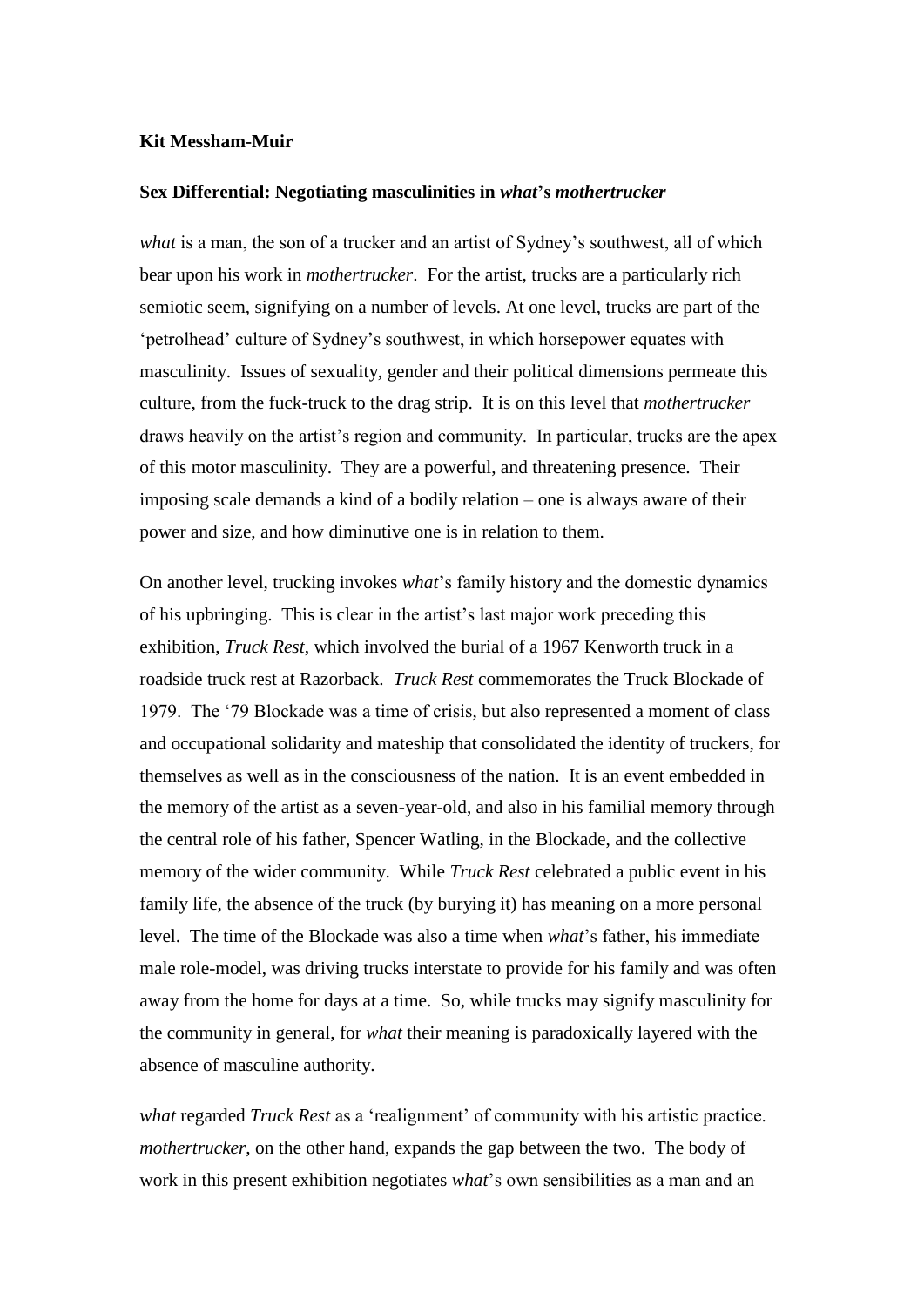## **Kit Messham-Muir**

## **Sex Differential: Negotiating masculinities in** *what***'s** *mothertrucker*

*what* is a man, the son of a trucker and an artist of Sydney's southwest, all of which bear upon his work in *mothertrucker*. For the artist, trucks are a particularly rich semiotic seem, signifying on a number of levels. At one level, trucks are part of the 'petrolhead' culture of Sydney's southwest, in which horsepower equates with masculinity. Issues of sexuality, gender and their political dimensions permeate this culture, from the fuck-truck to the drag strip. It is on this level that *mothertrucker* draws heavily on the artist's region and community. In particular, trucks are the apex of this motor masculinity. They are a powerful, and threatening presence. Their imposing scale demands a kind of a bodily relation – one is always aware of their power and size, and how diminutive one is in relation to them.

On another level, trucking invokes *what*'s family history and the domestic dynamics of his upbringing. This is clear in the artist's last major work preceding this exhibition, *Truck Rest*, which involved the burial of a 1967 Kenworth truck in a roadside truck rest at Razorback. *Truck Rest* commemorates the Truck Blockade of 1979. The '79 Blockade was a time of crisis, but also represented a moment of class and occupational solidarity and mateship that consolidated the identity of truckers, for themselves as well as in the consciousness of the nation. It is an event embedded in the memory of the artist as a seven-year-old, and also in his familial memory through the central role of his father, Spencer Watling, in the Blockade, and the collective memory of the wider community. While *Truck Rest* celebrated a public event in his family life, the absence of the truck (by burying it) has meaning on a more personal level. The time of the Blockade was also a time when *what*'s father, his immediate male role-model, was driving trucks interstate to provide for his family and was often away from the home for days at a time. So, while trucks may signify masculinity for the community in general, for *what* their meaning is paradoxically layered with the absence of masculine authority.

*what* regarded *Truck Rest* as a 'realignment' of community with his artistic practice. *mothertrucker*, on the other hand, expands the gap between the two. The body of work in this present exhibition negotiates *what*'s own sensibilities as a man and an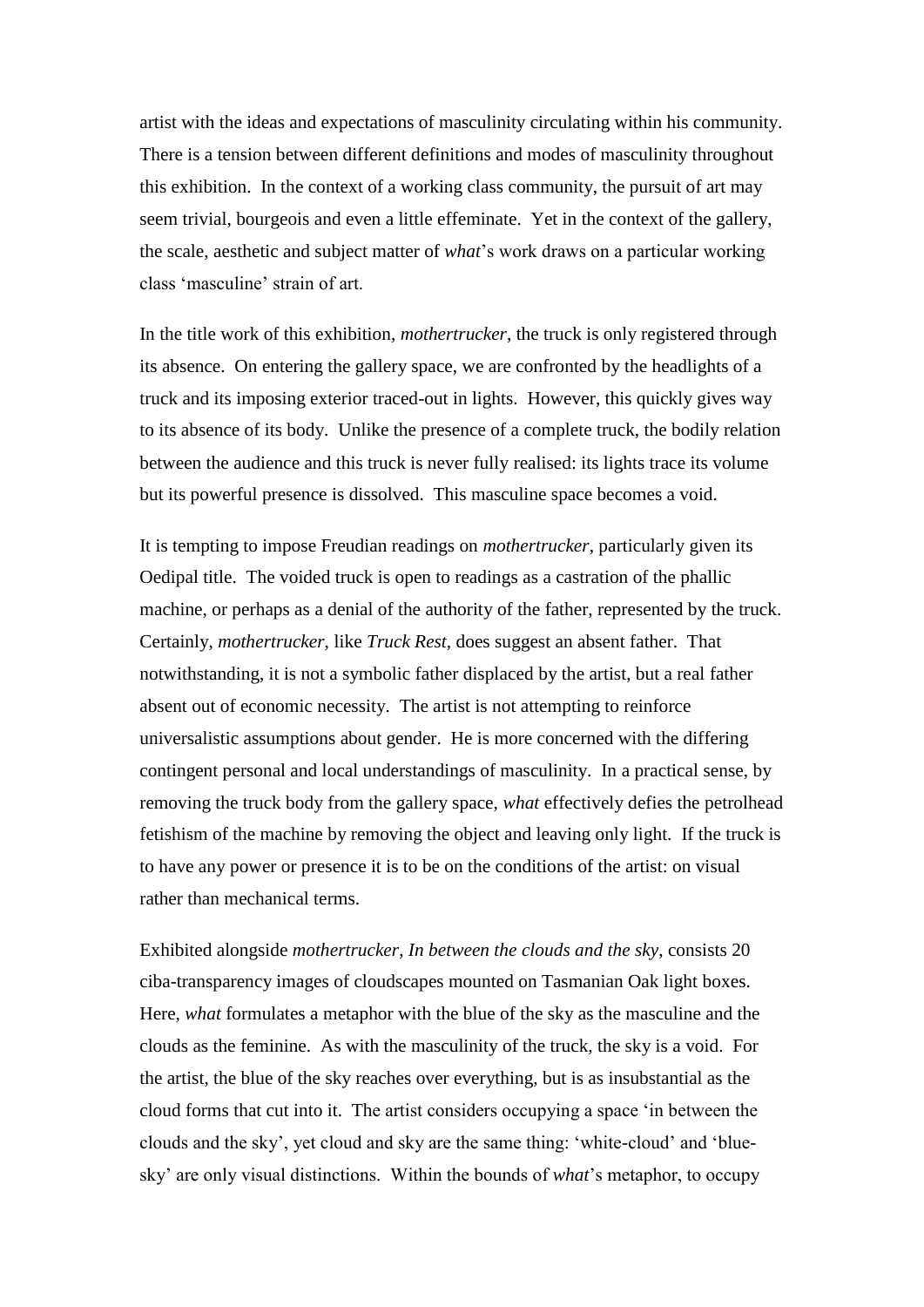artist with the ideas and expectations of masculinity circulating within his community. There is a tension between different definitions and modes of masculinity throughout this exhibition. In the context of a working class community, the pursuit of art may seem trivial, bourgeois and even a little effeminate. Yet in the context of the gallery, the scale, aesthetic and subject matter of *what*'s work draws on a particular working class 'masculine' strain of art.

In the title work of this exhibition, *mothertrucker*, the truck is only registered through its absence. On entering the gallery space, we are confronted by the headlights of a truck and its imposing exterior traced-out in lights. However, this quickly gives way to its absence of its body. Unlike the presence of a complete truck, the bodily relation between the audience and this truck is never fully realised: its lights trace its volume but its powerful presence is dissolved. This masculine space becomes a void.

It is tempting to impose Freudian readings on *mothertrucker*, particularly given its Oedipal title. The voided truck is open to readings as a castration of the phallic machine, or perhaps as a denial of the authority of the father, represented by the truck. Certainly, *mothertrucker*, like *Truck Rest*, does suggest an absent father. That notwithstanding, it is not a symbolic father displaced by the artist, but a real father absent out of economic necessity. The artist is not attempting to reinforce universalistic assumptions about gender. He is more concerned with the differing contingent personal and local understandings of masculinity. In a practical sense, by removing the truck body from the gallery space, *what* effectively defies the petrolhead fetishism of the machine by removing the object and leaving only light. If the truck is to have any power or presence it is to be on the conditions of the artist: on visual rather than mechanical terms.

Exhibited alongside *mothertrucker*, *In between the clouds and the sky*, consists 20 ciba-transparency images of cloudscapes mounted on Tasmanian Oak light boxes. Here, *what* formulates a metaphor with the blue of the sky as the masculine and the clouds as the feminine. As with the masculinity of the truck, the sky is a void. For the artist, the blue of the sky reaches over everything, but is as insubstantial as the cloud forms that cut into it. The artist considers occupying a space 'in between the clouds and the sky', yet cloud and sky are the same thing: 'white-cloud' and 'bluesky' are only visual distinctions. Within the bounds of *what*'s metaphor, to occupy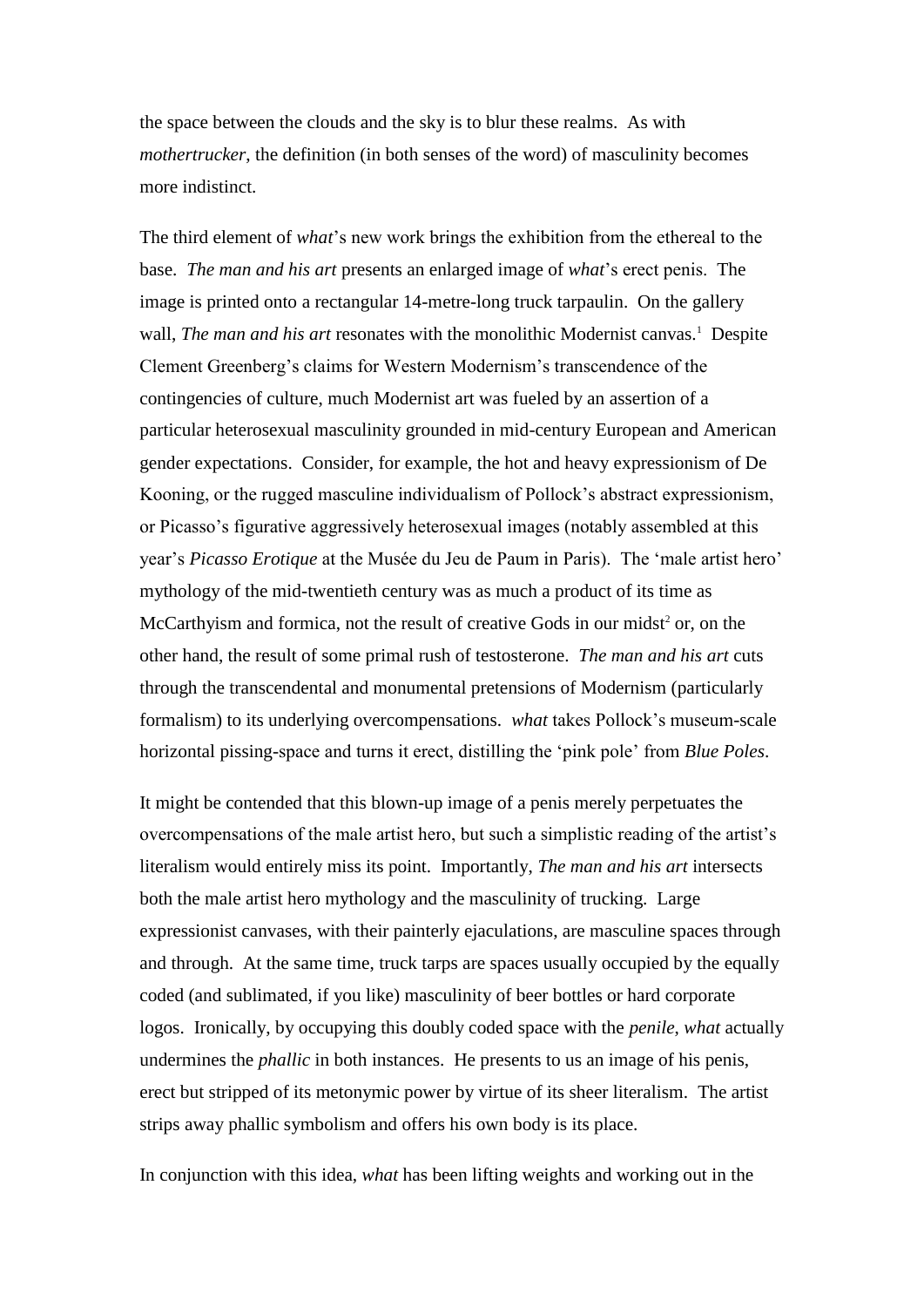the space between the clouds and the sky is to blur these realms. As with *mothertrucker*, the definition (in both senses of the word) of masculinity becomes more indistinct.

The third element of *what*'s new work brings the exhibition from the ethereal to the base. *The man and his art* presents an enlarged image of *what*'s erect penis. The image is printed onto a rectangular 14-metre-long truck tarpaulin. On the gallery wall, *The man and his art* resonates with the monolithic Modernist canvas.<sup>1</sup> Despite Clement Greenberg's claims for Western Modernism's transcendence of the contingencies of culture, much Modernist art was fueled by an assertion of a particular heterosexual masculinity grounded in mid-century European and American gender expectations. Consider, for example, the hot and heavy expressionism of De Kooning, or the rugged masculine individualism of Pollock's abstract expressionism, or Picasso's figurative aggressively heterosexual images (notably assembled at this year's *Picasso Erotique* at the Musée du Jeu de Paum in Paris). The 'male artist hero' mythology of the mid-twentieth century was as much a product of its time as McCarthyism and formica, not the result of creative Gods in our midst<sup>2</sup> or, on the other hand, the result of some primal rush of testosterone. *The man and his art* cuts through the transcendental and monumental pretensions of Modernism (particularly formalism) to its underlying overcompensations. *what* takes Pollock's museum-scale horizontal pissing-space and turns it erect, distilling the 'pink pole' from *Blue Poles*.

It might be contended that this blown-up image of a penis merely perpetuates the overcompensations of the male artist hero, but such a simplistic reading of the artist's literalism would entirely miss its point. Importantly, *The man and his art* intersects both the male artist hero mythology and the masculinity of trucking. Large expressionist canvases, with their painterly ejaculations, are masculine spaces through and through. At the same time, truck tarps are spaces usually occupied by the equally coded (and sublimated, if you like) masculinity of beer bottles or hard corporate logos. Ironically, by occupying this doubly coded space with the *penile*, *what* actually undermines the *phallic* in both instances. He presents to us an image of his penis, erect but stripped of its metonymic power by virtue of its sheer literalism. The artist strips away phallic symbolism and offers his own body is its place.

In conjunction with this idea, *what* has been lifting weights and working out in the